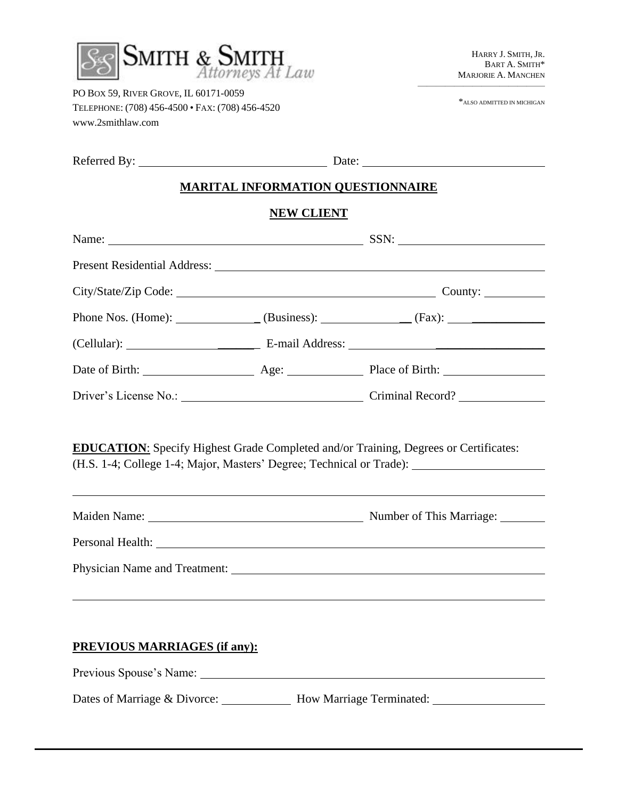

PO BOX 59, RIVER GROVE, IL 60171-0059 TELEPHONE: (708) 456-4500 • FAX: (708) 456-4520 www.2smithlaw.com

 $\rm ^\ast$  ALSO ADMITTED IN MICHIGAN

——————————————

| Referred By: |  |
|--------------|--|
|--------------|--|

 $\frac{E}{E}$  Date:  $\frac{E}{E}$  Date:  $\frac{E}{E}$  Date:  $\frac{E}{E}$  Date:  $\frac{E}{E}$  Date:  $\frac{E}{E}$  Date:  $\frac{E}{E}$  Date:  $\frac{E}{E}$  Date:  $\frac{E}{E}$  Date:  $\frac{E}{E}$  Date:  $\frac{E}{E}$  Date:  $\frac{E}{E}$  Date:  $\frac{E}{E}$  Date:  $\frac{E}{E}$  Dat

#### **MARITAL INFORMATION QUESTIONNAIRE**

#### **NEW CLIENT**

| <b>EDUCATION:</b> Specify Highest Grade Completed and/or Training, Degrees or Certificates: | (H.S. 1-4; College 1-4; Major, Masters' Degree; Technical or Trade): _______________________________<br><u> 1989 - Johann Stoff, deutscher Stoffen und der Stoffen und der Stoffen und der Stoffen und der Stoffen und de</u> |
|---------------------------------------------------------------------------------------------|-------------------------------------------------------------------------------------------------------------------------------------------------------------------------------------------------------------------------------|
|                                                                                             |                                                                                                                                                                                                                               |
|                                                                                             |                                                                                                                                                                                                                               |
|                                                                                             | ,我们也不会有什么。""我们的人,我们也不会有什么?""我们的人,我们也不会有什么?""我们的人,我们也不会有什么?""我们的人,我们也不会有什么?""我们的人                                                                                                                                              |
| <b>PREVIOUS MARRIAGES (if any):</b>                                                         |                                                                                                                                                                                                                               |
|                                                                                             |                                                                                                                                                                                                                               |

Dates of Marriage & Divorce: \_\_\_\_\_\_\_\_\_\_\_ How Marriage Terminated: \_\_\_\_\_\_\_\_\_\_\_\_\_\_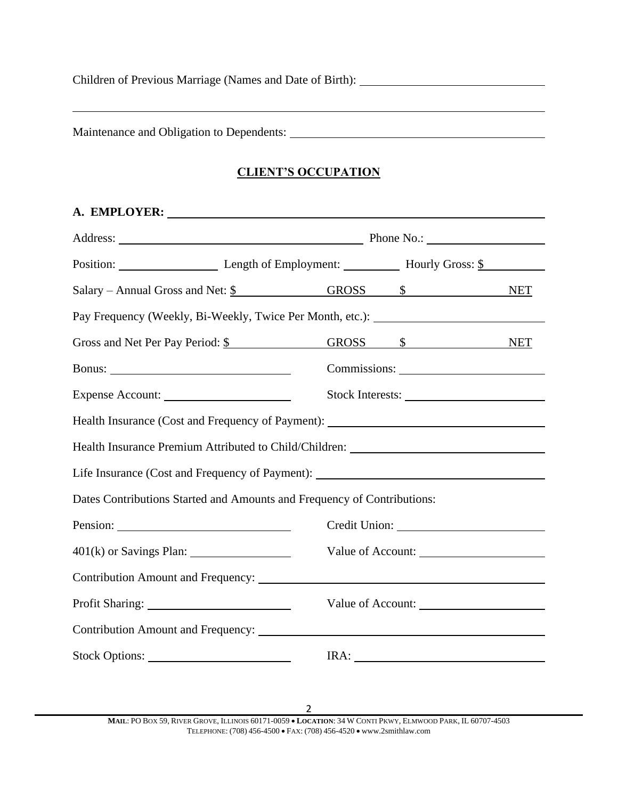Children of Previous Marriage (Names and Date of Birth):

Maintenance and Obligation to Dependents:

### **CLIENT'S OCCUPATION**

|                | Position: Length of Employment: Hourly Gross: \$                                  |                   |  |
|----------------|-----------------------------------------------------------------------------------|-------------------|--|
|                | Salary – Annual Gross and Net: \$ GROSS \$                                        | <b>NET</b>        |  |
|                | Pay Frequency (Weekly, Bi-Weekly, Twice Per Month, etc.): ______________________  |                   |  |
|                | Gross and Net Per Pay Period: \$ GROSS \$ NET                                     |                   |  |
|                |                                                                                   |                   |  |
|                | Stock Interests:                                                                  |                   |  |
|                | Health Insurance (Cost and Frequency of Payment): _______________________________ |                   |  |
|                | Health Insurance Premium Attributed to Child/Children: __________________________ |                   |  |
|                | Life Insurance (Cost and Frequency of Payment): _________________________________ |                   |  |
|                | Dates Contributions Started and Amounts and Frequency of Contributions:           |                   |  |
| Pension:       |                                                                                   |                   |  |
|                |                                                                                   | Value of Account: |  |
|                |                                                                                   |                   |  |
|                | Value of Account:                                                                 |                   |  |
|                |                                                                                   |                   |  |
| Stock Options: | IRA:                                                                              |                   |  |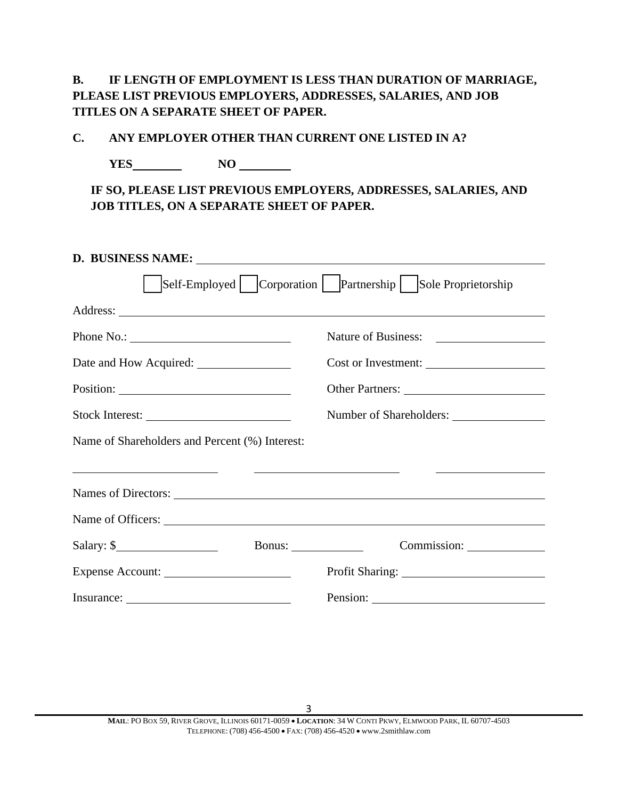**B. IF LENGTH OF EMPLOYMENT IS LESS THAN DURATION OF MARRIAGE, PLEASE LIST PREVIOUS EMPLOYERS, ADDRESSES, SALARIES, AND JOB TITLES ON A SEPARATE SHEET OF PAPER.**

**C. ANY EMPLOYER OTHER THAN CURRENT ONE LISTED IN A?**

**YES NO** 

**IF SO, PLEASE LIST PREVIOUS EMPLOYERS, ADDRESSES, SALARIES, AND JOB TITLES, ON A SEPARATE SHEET OF PAPER.**

| D. BUSINESS NAME:                                                                                           |                                                                 |  |
|-------------------------------------------------------------------------------------------------------------|-----------------------------------------------------------------|--|
|                                                                                                             | Self-Employed   Corporation   Partnership   Sole Proprietorship |  |
|                                                                                                             |                                                                 |  |
| Phone No.: $\qquad \qquad$                                                                                  |                                                                 |  |
|                                                                                                             | Cost or Investment:                                             |  |
|                                                                                                             | Other Partners:                                                 |  |
|                                                                                                             |                                                                 |  |
| Name of Shareholders and Percent (%) Interest:                                                              |                                                                 |  |
| <u> 1989 - Andrea State Barbara, poeta esperanto-</u><br><u> 1986 - John Stone, Amerikaansk politiker (</u> |                                                                 |  |
|                                                                                                             |                                                                 |  |
| Salary: $\frac{\sqrt{2}}{2}$                                                                                |                                                                 |  |
| Expense Account:                                                                                            |                                                                 |  |
|                                                                                                             |                                                                 |  |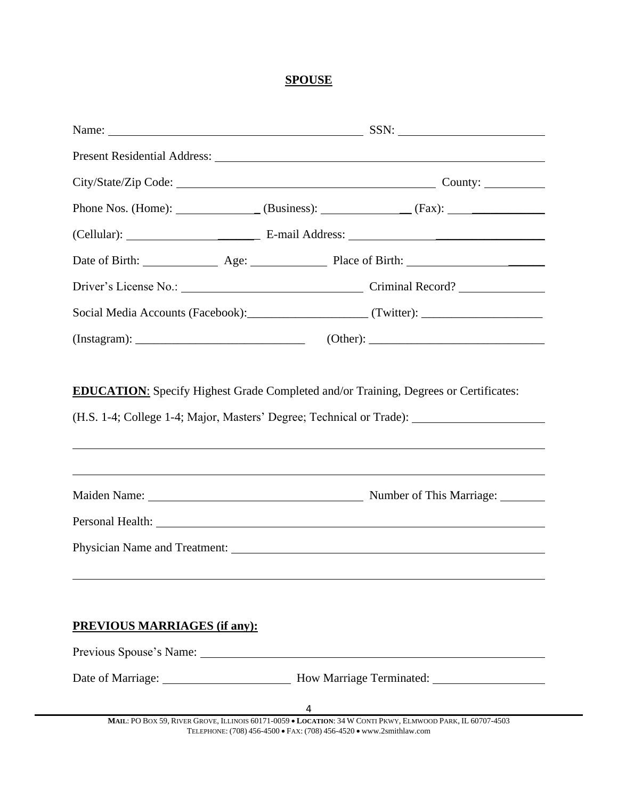## **SPOUSE**

| City/State/Zip Code: Communication County:                                                                                                                                                                                    |  |
|-------------------------------------------------------------------------------------------------------------------------------------------------------------------------------------------------------------------------------|--|
|                                                                                                                                                                                                                               |  |
|                                                                                                                                                                                                                               |  |
|                                                                                                                                                                                                                               |  |
|                                                                                                                                                                                                                               |  |
|                                                                                                                                                                                                                               |  |
|                                                                                                                                                                                                                               |  |
| ,我们也不会有什么?""我们的人,我们也不会有什么?""我们的人,我们也不会有什么?""我们的人,我们也不会有什么?""我们的人,我们也不会有什么?""我们的人                                                                                                                                              |  |
| Personal Health: <u>Department</u>                                                                                                                                                                                            |  |
|                                                                                                                                                                                                                               |  |
|                                                                                                                                                                                                                               |  |
| <b>PREVIOUS MARRIAGES (if any):</b>                                                                                                                                                                                           |  |
| Previous Spouse's Name: 1986 and 1987 and 1988 and 1988 and 1988 and 1988 and 1988 and 1988 and 1988 and 1988 and 1988 and 1988 and 1988 and 1988 and 1988 and 1988 and 1988 and 1988 and 1988 and 1988 and 1988 and 1988 and |  |
|                                                                                                                                                                                                                               |  |
| <b>MAIL:</b> PO BOX 59, RIVER GROVE, ILLINOIS 60171-0059 $\bullet$ <b>LOCATION:</b> 34 W CONTI PKWY, ELMWOOD PARK, IL 60707-4503                                                                                              |  |
|                                                                                                                                                                                                                               |  |

TELEPHONE: (708) 456-4500 • FAX: (708) 456-4520 • www.2smithlaw.com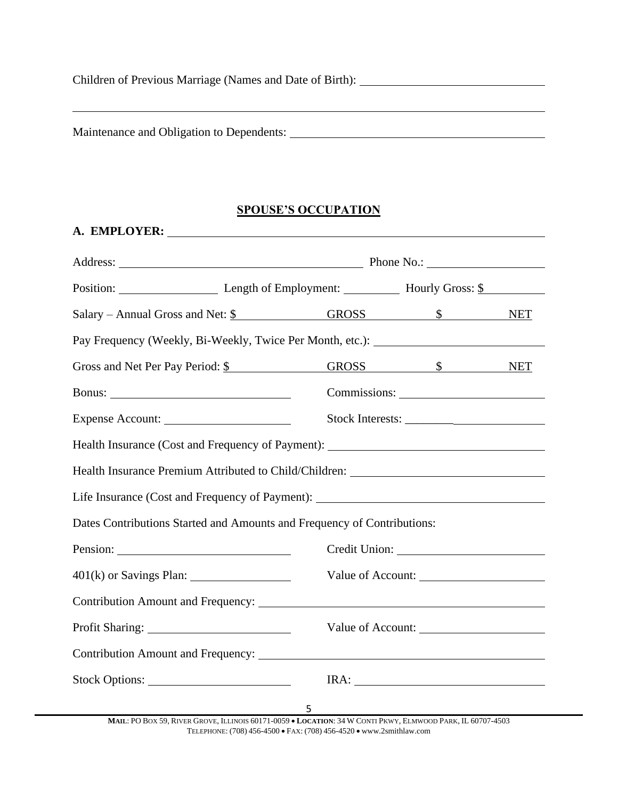Children of Previous Marriage (Names and Date of Birth):

Maintenance and Obligation to Dependents:

# **SPOUSE'S OCCUPATION**

| Position: Length of Employment: Hourly Gross: \$                                  |                   |   |                   |  |
|-----------------------------------------------------------------------------------|-------------------|---|-------------------|--|
| Salary – Annual Gross and Net: \$ GROSS \$ NET                                    |                   |   |                   |  |
| Pay Frequency (Weekly, Bi-Weekly, Twice Per Month, etc.): ______________________  |                   |   |                   |  |
| Gross and Net Per Pay Period: \$    GROSS    \$    NET                            |                   |   |                   |  |
|                                                                                   |                   |   | Commissions:      |  |
| Expense Account:                                                                  |                   |   | Stock Interests:  |  |
| Health Insurance (Cost and Frequency of Payment): _______________________________ |                   |   |                   |  |
| Health Insurance Premium Attributed to Child/Children: __________________________ |                   |   |                   |  |
| Life Insurance (Cost and Frequency of Payment): _________________________________ |                   |   |                   |  |
| Dates Contributions Started and Amounts and Frequency of Contributions:           |                   |   |                   |  |
|                                                                                   |                   |   |                   |  |
|                                                                                   | Value of Account: |   |                   |  |
|                                                                                   |                   |   |                   |  |
|                                                                                   |                   |   | Value of Account: |  |
|                                                                                   |                   |   |                   |  |
| Stock Options:                                                                    |                   |   | IRA:              |  |
|                                                                                   |                   | 5 |                   |  |

**MAIL**: PO BOX 59, RIVER GROVE, ILLINOIS 60171-0059 • **LOCATION**: 34 W CONTI PKWY, ELMWOOD PARK, IL 60707-4503 TELEPHONE: (708) 456-4500 • FAX: (708) 456-4520 • www.2smithlaw.com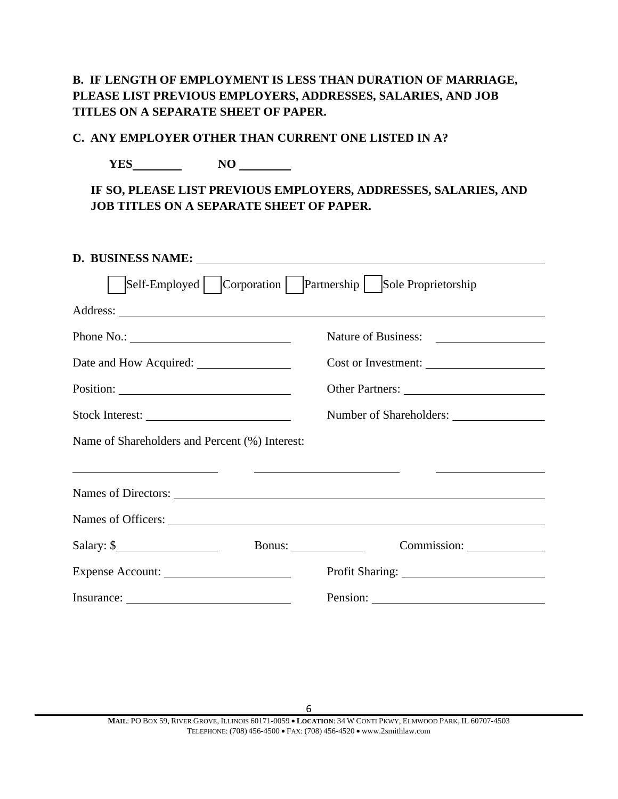## **B. IF LENGTH OF EMPLOYMENT IS LESS THAN DURATION OF MARRIAGE, PLEASE LIST PREVIOUS EMPLOYERS, ADDRESSES, SALARIES, AND JOB TITLES ON A SEPARATE SHEET OF PAPER.**

#### **C. ANY EMPLOYER OTHER THAN CURRENT ONE LISTED IN A?**

**YES NO NO** 

**IF SO, PLEASE LIST PREVIOUS EMPLOYERS, ADDRESSES, SALARIES, AND JOB TITLES ON A SEPARATE SHEET OF PAPER.**

| D. BUSINESS NAME:                              |                                                                                                                       |
|------------------------------------------------|-----------------------------------------------------------------------------------------------------------------------|
|                                                | Self-Employed   Corporation   Partnership   Sole Proprietorship                                                       |
|                                                |                                                                                                                       |
| Phone No.: $\qquad \qquad$                     | Nature of Business:                                                                                                   |
|                                                | Cost or Investment:                                                                                                   |
|                                                |                                                                                                                       |
| Stock Interest:                                | Number of Shareholders:                                                                                               |
| Name of Shareholders and Percent (%) Interest: |                                                                                                                       |
| <u> 1989 - Andrea Andrew Maria (b. 1989)</u>   | <u> Louis Communication de la communication de la communication de la communication de la communication de la com</u> |
|                                                |                                                                                                                       |
|                                                |                                                                                                                       |
| $Salary:$ $\frac{\sqrt{2}}{2}$                 | Bonus: $\_\_$                                                                                                         |
| Expense Account:                               |                                                                                                                       |
|                                                |                                                                                                                       |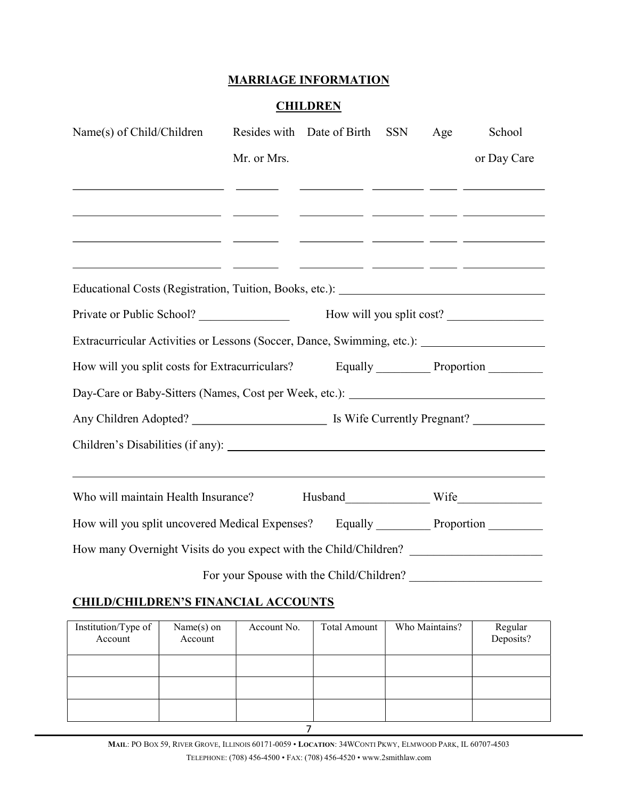#### MARRIAGE INFORMATION

#### **CHILDREN**

| Name(s) of Child/Children                                                                                                                |             | Resides with Date of Birth | <b>SSN</b> | Age | School                                        |
|------------------------------------------------------------------------------------------------------------------------------------------|-------------|----------------------------|------------|-----|-----------------------------------------------|
|                                                                                                                                          | Mr. or Mrs. |                            |            |     | or Day Care                                   |
| <u> 1999 - Johann Marie Barn, mars eta inperiodo</u><br><u> 1999 - Jacques Marian, professor anno 1992. I component de la componenta</u> |             |                            |            |     | <u> 1980 - Andrea Andrew Maria (h. 1980).</u> |
|                                                                                                                                          |             |                            |            |     |                                               |
| Private or Public School?                                                                                                                |             |                            |            |     | How will you split cost?                      |
| Extracurricular Activities or Lessons (Soccer, Dance, Swimming, etc.): ____________________________                                      |             |                            |            |     |                                               |
|                                                                                                                                          |             |                            |            |     |                                               |
| Day-Care or Baby-Sitters (Names, Cost per Week, etc.): _________________________                                                         |             |                            |            |     |                                               |
|                                                                                                                                          |             |                            |            |     |                                               |
|                                                                                                                                          |             |                            |            |     |                                               |
| Who will maintain Health Insurance?                                                                                                      |             |                            |            |     |                                               |
| How will you split uncovered Medical Expenses? Equally ___________ Proportion ________                                                   |             |                            |            |     |                                               |
| How many Overnight Visits do you expect with the Child/Children? ________________                                                        |             |                            |            |     |                                               |
|                                                                                                                                          |             |                            |            |     |                                               |

## CHILD/CHILDREN'S FINANCIAL ACCOUNTS

| Institution/Type of<br>Account | $Name(s)$ on<br>Account | Account No. | <b>Total Amount</b> | Who Maintains? | Regular<br>Deposits? |
|--------------------------------|-------------------------|-------------|---------------------|----------------|----------------------|
|                                |                         |             |                     |                |                      |
|                                |                         |             |                     |                |                      |
|                                |                         |             |                     |                |                      |
|                                |                         |             |                     |                |                      |

MAIL: PO BOX 59, RIVER GROVE, ILLINOIS 60171-0059 • LOCATION: 34WCONTI PKWY, ELMWOOD PARK, IL 60707-4503 TELEPHONE: (708) 456-4500 • FAX: (708) 456-4520 • www.2smithlaw.com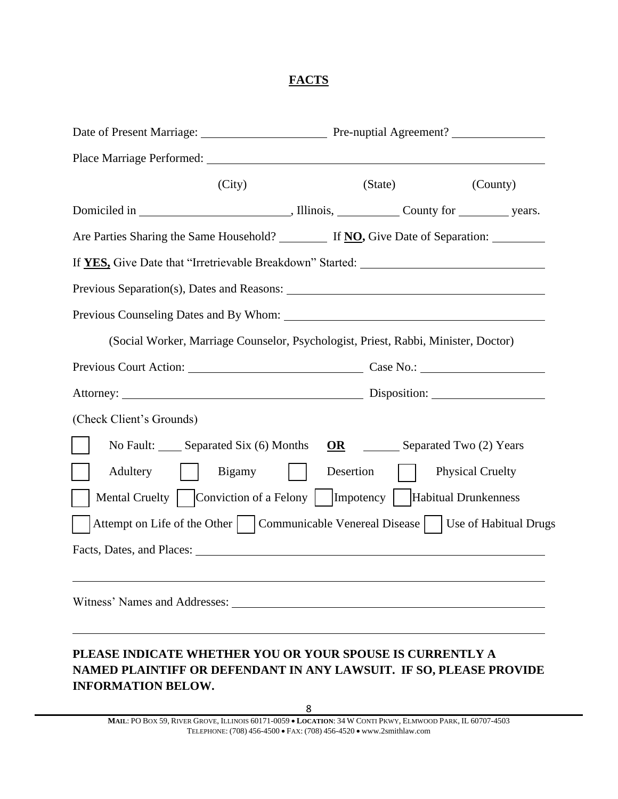### **FACTS**

|                                                                                                                                                                                                                               | Date of Present Marriage: Pre-nuptial Agreement? |                         |  |
|-------------------------------------------------------------------------------------------------------------------------------------------------------------------------------------------------------------------------------|--------------------------------------------------|-------------------------|--|
|                                                                                                                                                                                                                               |                                                  |                         |  |
| (City)                                                                                                                                                                                                                        | (State)                                          | (County)                |  |
|                                                                                                                                                                                                                               |                                                  |                         |  |
| Are Parties Sharing the Same Household? If NO, Give Date of Separation:                                                                                                                                                       |                                                  |                         |  |
| If YES, Give Date that "Irretrievable Breakdown" Started: _______________________                                                                                                                                             |                                                  |                         |  |
|                                                                                                                                                                                                                               |                                                  |                         |  |
|                                                                                                                                                                                                                               |                                                  |                         |  |
| (Social Worker, Marriage Counselor, Psychologist, Priest, Rabbi, Minister, Doctor)                                                                                                                                            |                                                  |                         |  |
| Previous Court Action: Case No.: Case No.:                                                                                                                                                                                    |                                                  |                         |  |
|                                                                                                                                                                                                                               |                                                  |                         |  |
| (Check Client's Grounds)                                                                                                                                                                                                      |                                                  |                         |  |
| No Fault: Separated Six (6) Months                                                                                                                                                                                            | OR                                               | Separated Two (2) Years |  |
| Adultery<br><b>Bigamy</b>                                                                                                                                                                                                     | Desertion                                        | <b>Physical Cruelty</b> |  |
|                                                                                                                                                                                                                               |                                                  |                         |  |
| Attempt on Life of the Other     Communicable Venereal Disease     Use of Habitual Drugs                                                                                                                                      |                                                  |                         |  |
| Facts, Dates, and Places: The Contract of the Contract of the Contract of the Contract of the Contract of the Contract of the Contract of the Contract of the Contract of the Contract of the Contract of the Contract of the |                                                  |                         |  |
|                                                                                                                                                                                                                               |                                                  |                         |  |
|                                                                                                                                                                                                                               |                                                  |                         |  |
|                                                                                                                                                                                                                               |                                                  |                         |  |
|                                                                                                                                                                                                                               |                                                  |                         |  |

## **PLEASE INDICATE WHETHER YOU OR YOUR SPOUSE IS CURRENTLY A NAMED PLAINTIFF OR DEFENDANT IN ANY LAWSUIT. IF SO, PLEASE PROVIDE INFORMATION BELOW.**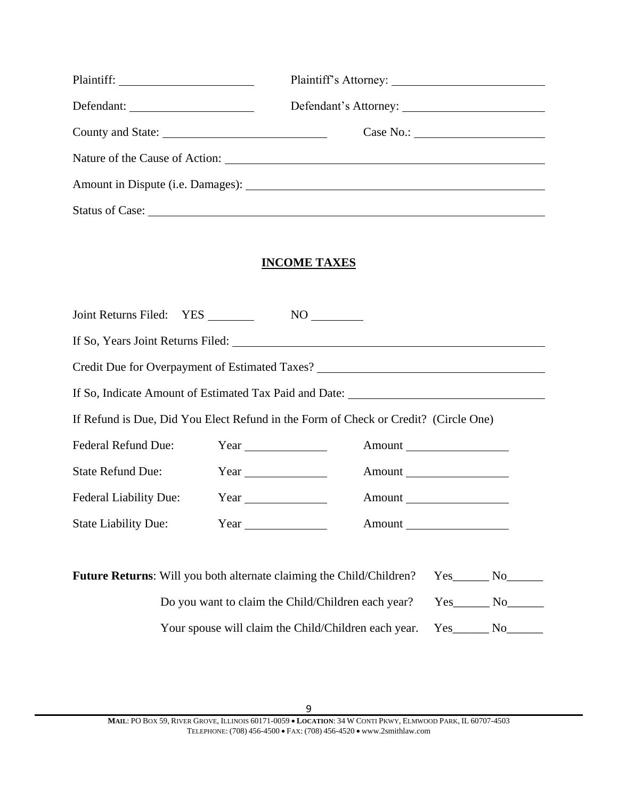## **INCOME TAXES**

| Joint Returns Filed: YES                                                            | $NO$ <sub>_________</sub>           |                                                                                   |  |  |
|-------------------------------------------------------------------------------------|-------------------------------------|-----------------------------------------------------------------------------------|--|--|
| If So, Years Joint Returns Filed:                                                   |                                     |                                                                                   |  |  |
|                                                                                     |                                     | Credit Due for Overpayment of Estimated Taxes? __________________________________ |  |  |
|                                                                                     |                                     | If So, Indicate Amount of Estimated Tax Paid and Date:                            |  |  |
| If Refund is Due, Did You Elect Refund in the Form of Check or Credit? (Circle One) |                                     |                                                                                   |  |  |
| <b>Federal Refund Due:</b>                                                          | $Year$ and $\overline{\phantom{a}}$ |                                                                                   |  |  |
| <b>State Refund Due:</b>                                                            |                                     |                                                                                   |  |  |
| <b>Federal Liability Due:</b>                                                       |                                     | Amount                                                                            |  |  |
| <b>State Liability Due:</b>                                                         |                                     |                                                                                   |  |  |
|                                                                                     |                                     |                                                                                   |  |  |

| <b>Future Returns:</b> Will you both alternate claiming the Child/Children? | <b>Yes</b> | No.            |
|-----------------------------------------------------------------------------|------------|----------------|
| Do you want to claim the Child/Children each year?                          | Yes.       | - No           |
| Your spouse will claim the Child/Children each year.                        | Yes.       | N <sub>O</sub> |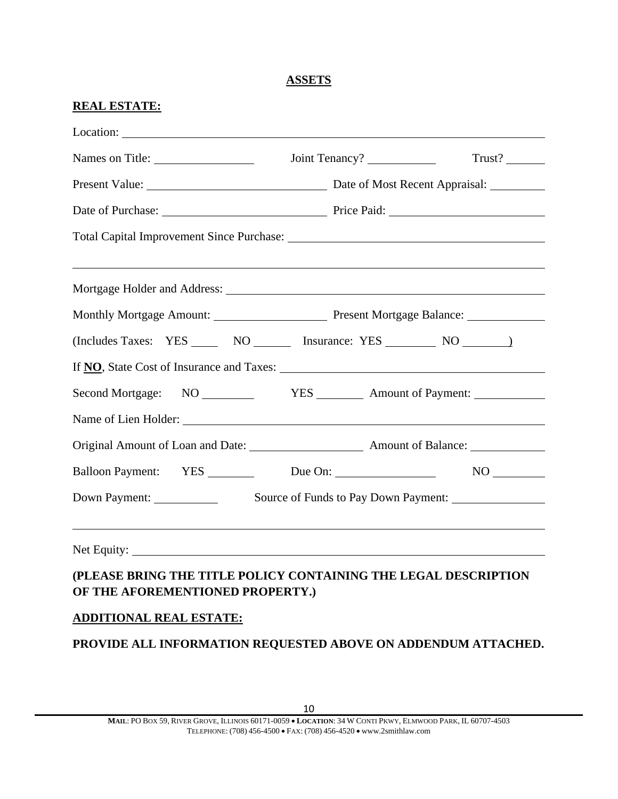### **ASSETS**

#### **REAL ESTATE:**

|                                           | Trust?<br>Joint Tenancy?                                                          |
|-------------------------------------------|-----------------------------------------------------------------------------------|
|                                           |                                                                                   |
|                                           | Date of Purchase: <u>New York: Price Paid:</u> Price Paid:                        |
|                                           |                                                                                   |
|                                           |                                                                                   |
|                                           |                                                                                   |
|                                           |                                                                                   |
|                                           | (Includes Taxes: YES ______ NO _______ Insurance: YES ________ NO ________        |
|                                           | If <b>NO</b> , State Cost of Insurance and Taxes:                                 |
|                                           |                                                                                   |
| Name of Lien Holder: Name of Lien Holder: |                                                                                   |
|                                           |                                                                                   |
|                                           | Balloon Payment: YES Due On: NO                                                   |
|                                           | Down Payment: Source of Funds to Pay Down Payment: ______________________________ |
|                                           | Net Equity: <u>Net Equity:</u>                                                    |
| OF THE AFOREMENTIONED PROPERTY.)          | (PLEASE BRING THE TITLE POLICY CONTAINING THE LEGAL DESCRIPTION                   |
| <b>ADDITIONAL REAL ESTATE:</b>            |                                                                                   |

### **PROVIDE ALL INFORMATION REQUESTED ABOVE ON ADDENDUM ATTACHED.**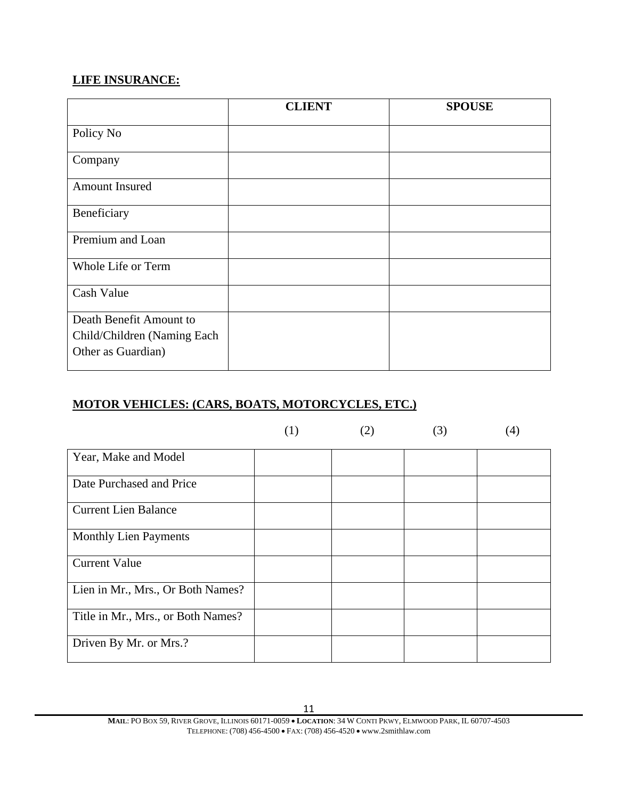## **LIFE INSURANCE:**

|                                                                              | <b>CLIENT</b> | <b>SPOUSE</b> |
|------------------------------------------------------------------------------|---------------|---------------|
| Policy No                                                                    |               |               |
| Company                                                                      |               |               |
| <b>Amount Insured</b>                                                        |               |               |
| Beneficiary                                                                  |               |               |
| Premium and Loan                                                             |               |               |
| Whole Life or Term                                                           |               |               |
| Cash Value                                                                   |               |               |
| Death Benefit Amount to<br>Child/Children (Naming Each<br>Other as Guardian) |               |               |

## **MOTOR VEHICLES: (CARS, BOATS, MOTORCYCLES, ETC.)**

|                                    | (1) | (2) | (3) | $\left(4\right)$ |
|------------------------------------|-----|-----|-----|------------------|
| Year, Make and Model               |     |     |     |                  |
| Date Purchased and Price           |     |     |     |                  |
| <b>Current Lien Balance</b>        |     |     |     |                  |
| <b>Monthly Lien Payments</b>       |     |     |     |                  |
| <b>Current Value</b>               |     |     |     |                  |
| Lien in Mr., Mrs., Or Both Names?  |     |     |     |                  |
| Title in Mr., Mrs., or Both Names? |     |     |     |                  |
| Driven By Mr. or Mrs.?             |     |     |     |                  |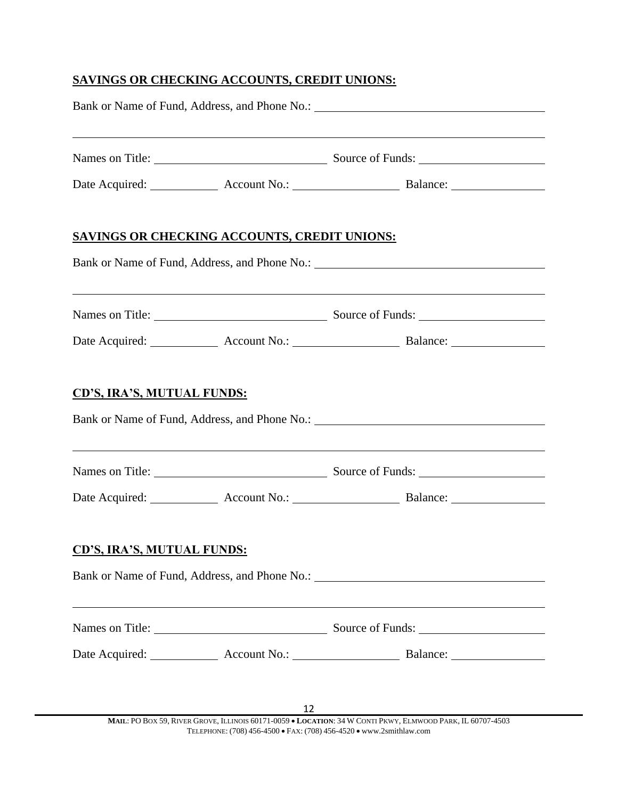## **SAVINGS OR CHECKING ACCOUNTS, CREDIT UNIONS:**

|                                   |                                                     | ,我们也不会有什么。""我们的人,我们也不会有什么?""我们的人,我们也不会有什么?""我们的人,我们也不会有什么?""我们的人,我们也不会有什么?""我们的人<br>Names on Title: Source of Funds: Source of Funds: |  |
|-----------------------------------|-----------------------------------------------------|---------------------------------------------------------------------------------------------------------------------------------------|--|
|                                   |                                                     |                                                                                                                                       |  |
|                                   | <b>SAVINGS OR CHECKING ACCOUNTS, CREDIT UNIONS:</b> |                                                                                                                                       |  |
|                                   |                                                     |                                                                                                                                       |  |
|                                   |                                                     | Names on Title: Source of Funds:                                                                                                      |  |
|                                   |                                                     |                                                                                                                                       |  |
| <b>CD'S, IRA'S, MUTUAL FUNDS:</b> |                                                     | Bank or Name of Fund, Address, and Phone No.: ___________________________________                                                     |  |
|                                   |                                                     |                                                                                                                                       |  |
|                                   |                                                     | ,我们也不会有什么。""我们的人,我们也不会有什么?""我们的人,我们也不会有什么?""我们的人,我们也不会有什么?""我们的人,我们也不会有什么?""我们的人<br>Names on Title: Source of Funds:                  |  |
|                                   |                                                     |                                                                                                                                       |  |
| <b>CD'S, IRA'S, MUTUAL FUNDS:</b> |                                                     |                                                                                                                                       |  |
|                                   |                                                     | Bank or Name of Fund, Address, and Phone No.: ___________________________________                                                     |  |
|                                   |                                                     | Names on Title: Source of Funds: Source of Funds:                                                                                     |  |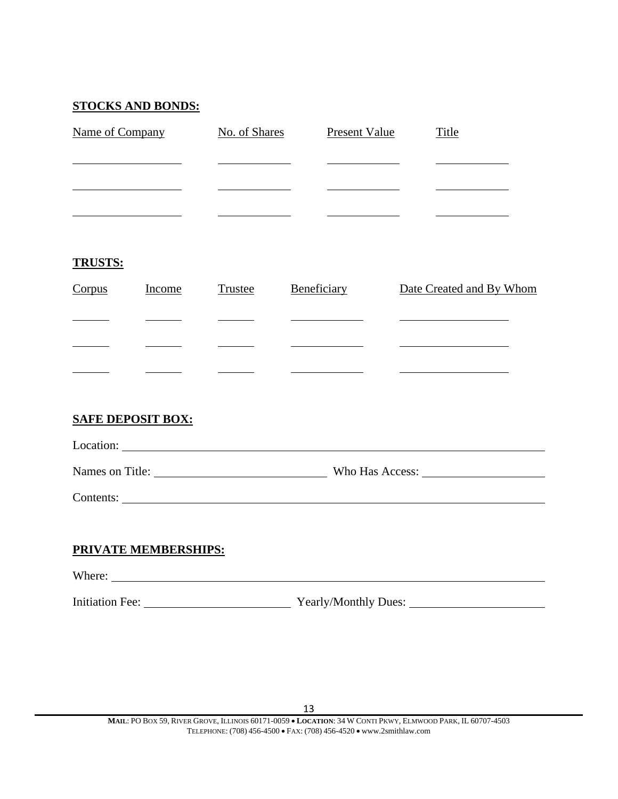#### **STOCKS AND BONDS:**

| Name of Company | No. of Shares | Present Value | Title |
|-----------------|---------------|---------------|-------|
|                 |               |               |       |
|                 |               |               |       |
|                 |               |               |       |

#### **TRUSTS:**

| Corpus | <b>Income</b> | Trustee | Beneficiary | Date Created and By Whom |
|--------|---------------|---------|-------------|--------------------------|
|        |               |         |             |                          |
|        |               |         |             |                          |
|        |               |         |             |                          |

### **SAFE DEPOSIT BOX:**

| Location: |  |  |  |
|-----------|--|--|--|
|           |  |  |  |

Names on Title: Who Has Access:

Contents:

#### **PRIVATE MEMBERSHIPS:**

Where: <u>with the contract of the contract of the contract of the contract of the contract of the contract of the contract of the contract of the contract of the contract of the contract of the contract of the contract of t</u>

Initiation Fee: Yearly/Monthly Dues: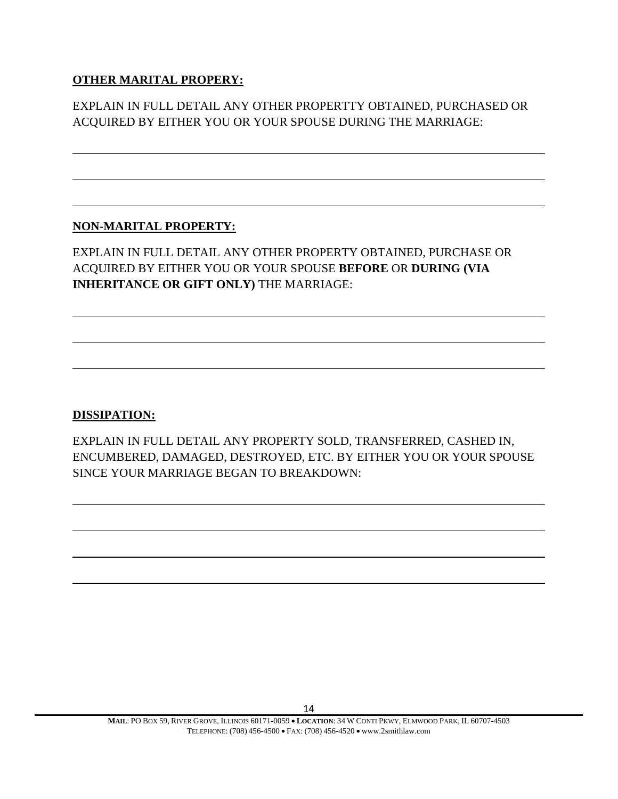### **OTHER MARITAL PROPERY:**

EXPLAIN IN FULL DETAIL ANY OTHER PROPERTTY OBTAINED, PURCHASED OR ACQUIRED BY EITHER YOU OR YOUR SPOUSE DURING THE MARRIAGE:

#### **NON-MARITAL PROPERTY:**

EXPLAIN IN FULL DETAIL ANY OTHER PROPERTY OBTAINED, PURCHASE OR ACQUIRED BY EITHER YOU OR YOUR SPOUSE **BEFORE** OR **DURING (VIA INHERITANCE OR GIFT ONLY)** THE MARRIAGE:

### **DISSIPATION:**

EXPLAIN IN FULL DETAIL ANY PROPERTY SOLD, TRANSFERRED, CASHED IN, ENCUMBERED, DAMAGED, DESTROYED, ETC. BY EITHER YOU OR YOUR SPOUSE SINCE YOUR MARRIAGE BEGAN TO BREAKDOWN: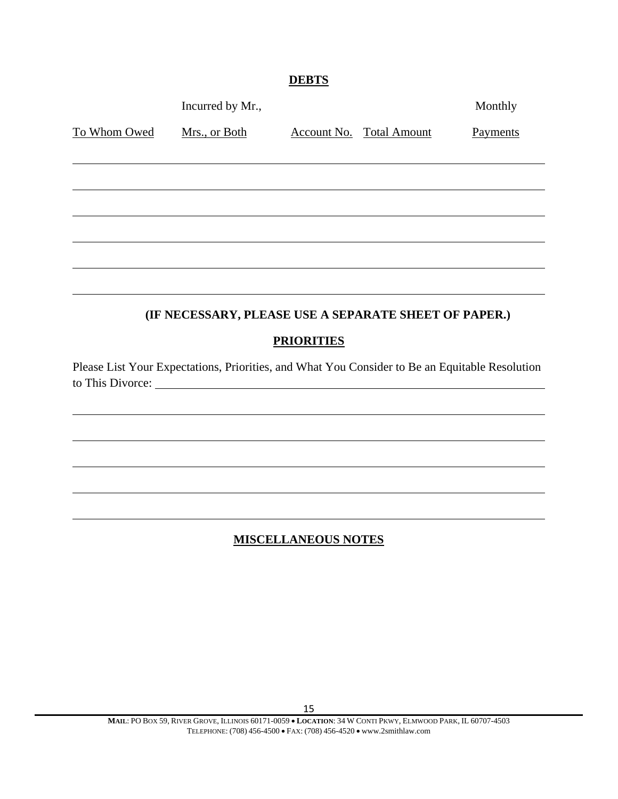## **DEBTS**

|              | Incurred by Mr.,                                                                                                   |                            |                                 | Monthly  |
|--------------|--------------------------------------------------------------------------------------------------------------------|----------------------------|---------------------------------|----------|
| To Whom Owed | Mrs., or Both                                                                                                      |                            | <b>Account No. Total Amount</b> | Payments |
|              |                                                                                                                    |                            |                                 |          |
|              |                                                                                                                    |                            |                                 |          |
|              |                                                                                                                    |                            |                                 |          |
|              |                                                                                                                    |                            |                                 |          |
|              |                                                                                                                    |                            |                                 |          |
|              |                                                                                                                    |                            |                                 |          |
|              | (IF NECESSARY, PLEASE USE A SEPARATE SHEET OF PAPER.)                                                              |                            |                                 |          |
|              |                                                                                                                    | <b>PRIORITIES</b>          |                                 |          |
|              | Please List Your Expectations, Priorities, and What You Consider to Be an Equitable Resolution<br>to This Divorce: |                            |                                 |          |
|              |                                                                                                                    |                            |                                 |          |
|              |                                                                                                                    |                            |                                 |          |
|              |                                                                                                                    |                            |                                 |          |
|              |                                                                                                                    |                            |                                 |          |
|              |                                                                                                                    |                            |                                 |          |
|              |                                                                                                                    | <b>MISCELLANEOUS NOTES</b> |                                 |          |